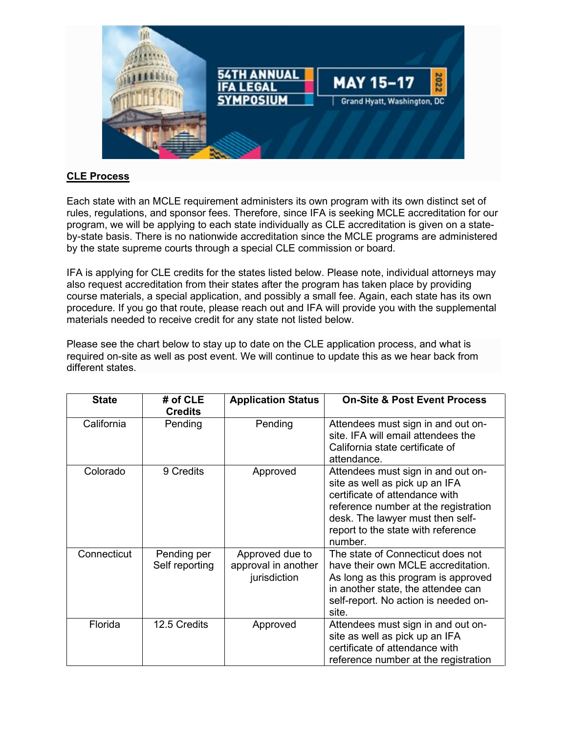

## **CLE Process**

Each state with an MCLE requirement administers its own program with its own distinct set of rules, regulations, and sponsor fees. Therefore, since IFA is seeking MCLE accreditation for our program, we will be applying to each state individually as CLE accreditation is given on a stateby-state basis. There is no nationwide accreditation since the MCLE programs are administered by the state supreme courts through a special CLE commission or board.

IFA is applying for CLE credits for the states listed below. Please note, individual attorneys may also request accreditation from their states after the program has taken place by providing course materials, a special application, and possibly a small fee. Again, each state has its own procedure. If you go that route, please reach out and IFA will provide you with the supplemental materials needed to receive credit for any state not listed below.

Please see the chart below to stay up to date on the CLE application process, and what is required on-site as well as post event. We will continue to update this as we hear back from different states.

| <b>State</b> | # of CLE<br><b>Credits</b>    | <b>Application Status</b>                              | <b>On-Site &amp; Post Event Process</b>                                                                                                                                                                                             |
|--------------|-------------------------------|--------------------------------------------------------|-------------------------------------------------------------------------------------------------------------------------------------------------------------------------------------------------------------------------------------|
| California   | Pending                       | Pending                                                | Attendees must sign in and out on-<br>site. IFA will email attendees the<br>California state certificate of<br>attendance.                                                                                                          |
| Colorado     | 9 Credits                     | Approved                                               | Attendees must sign in and out on-<br>site as well as pick up an IFA<br>certificate of attendance with<br>reference number at the registration<br>desk. The lawyer must then self-<br>report to the state with reference<br>number. |
| Connecticut  | Pending per<br>Self reporting | Approved due to<br>approval in another<br>jurisdiction | The state of Connecticut does not<br>have their own MCLE accreditation.<br>As long as this program is approved<br>in another state, the attendee can<br>self-report. No action is needed on-<br>site.                               |
| Florida      | 12.5 Credits                  | Approved                                               | Attendees must sign in and out on-<br>site as well as pick up an IFA<br>certificate of attendance with<br>reference number at the registration                                                                                      |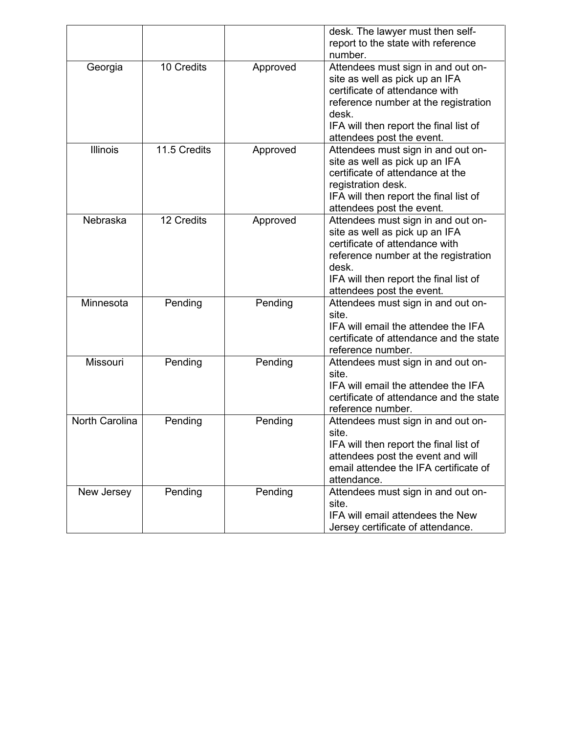|                       |              |          | desk. The lawyer must then self-<br>report to the state with reference<br>number.                                                                                                                                              |
|-----------------------|--------------|----------|--------------------------------------------------------------------------------------------------------------------------------------------------------------------------------------------------------------------------------|
| Georgia               | 10 Credits   | Approved | Attendees must sign in and out on-<br>site as well as pick up an IFA<br>certificate of attendance with<br>reference number at the registration<br>desk.<br>IFA will then report the final list of<br>attendees post the event. |
| <b>Illinois</b>       | 11.5 Credits | Approved | Attendees must sign in and out on-<br>site as well as pick up an IFA<br>certificate of attendance at the<br>registration desk.<br>IFA will then report the final list of<br>attendees post the event.                          |
| Nebraska              | 12 Credits   | Approved | Attendees must sign in and out on-<br>site as well as pick up an IFA<br>certificate of attendance with<br>reference number at the registration<br>desk.<br>IFA will then report the final list of<br>attendees post the event. |
| Minnesota             | Pending      | Pending  | Attendees must sign in and out on-<br>site.<br>IFA will email the attendee the IFA<br>certificate of attendance and the state<br>reference number.                                                                             |
| <b>Missouri</b>       | Pending      | Pending  | Attendees must sign in and out on-<br>site.<br>IFA will email the attendee the IFA<br>certificate of attendance and the state<br>reference number.                                                                             |
| <b>North Carolina</b> | Pending      | Pending  | Attendees must sign in and out on-<br>site.<br>IFA will then report the final list of<br>attendees post the event and will<br>email attendee the IFA certificate of<br>attendance.                                             |
| New Jersey            | Pending      | Pending  | Attendees must sign in and out on-<br>site.<br>IFA will email attendees the New<br>Jersey certificate of attendance.                                                                                                           |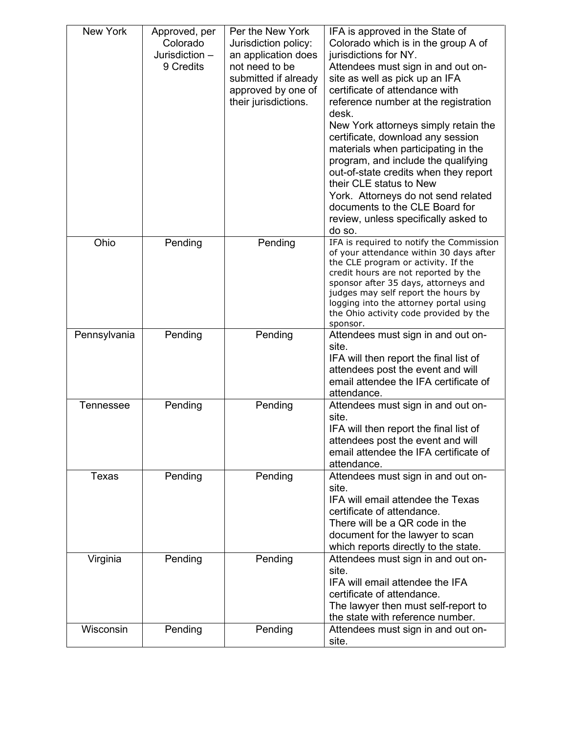| New York         | Approved, per<br>Colorado<br>Jurisdiction -<br>9 Credits | Per the New York<br>Jurisdiction policy:<br>an application does<br>not need to be<br>submitted if already<br>approved by one of<br>their jurisdictions. | IFA is approved in the State of<br>Colorado which is in the group A of<br>jurisdictions for NY.<br>Attendees must sign in and out on-<br>site as well as pick up an IFA<br>certificate of attendance with<br>reference number at the registration<br>desk.<br>New York attorneys simply retain the<br>certificate, download any session<br>materials when participating in the<br>program, and include the qualifying<br>out-of-state credits when they report<br>their CLE status to New<br>York. Attorneys do not send related<br>documents to the CLE Board for<br>review, unless specifically asked to<br>do so. |
|------------------|----------------------------------------------------------|---------------------------------------------------------------------------------------------------------------------------------------------------------|----------------------------------------------------------------------------------------------------------------------------------------------------------------------------------------------------------------------------------------------------------------------------------------------------------------------------------------------------------------------------------------------------------------------------------------------------------------------------------------------------------------------------------------------------------------------------------------------------------------------|
| Ohio             | Pending                                                  | Pending                                                                                                                                                 | IFA is required to notify the Commission<br>of your attendance within 30 days after<br>the CLE program or activity. If the<br>credit hours are not reported by the<br>sponsor after 35 days, attorneys and<br>judges may self report the hours by<br>logging into the attorney portal using<br>the Ohio activity code provided by the<br>sponsor.                                                                                                                                                                                                                                                                    |
| Pennsylvania     | Pending                                                  | Pending                                                                                                                                                 | Attendees must sign in and out on-<br>site.<br>IFA will then report the final list of<br>attendees post the event and will<br>email attendee the IFA certificate of<br>attendance.                                                                                                                                                                                                                                                                                                                                                                                                                                   |
| <b>Tennessee</b> | Pending                                                  | Pending                                                                                                                                                 | Attendees must sign in and out on-<br>site.<br>IFA will then report the final list of<br>attendees post the event and will<br>email attendee the IFA certificate of<br>attendance.                                                                                                                                                                                                                                                                                                                                                                                                                                   |
| <b>Texas</b>     | Pending                                                  | Pending                                                                                                                                                 | Attendees must sign in and out on-<br>site.<br>IFA will email attendee the Texas<br>certificate of attendance.<br>There will be a QR code in the<br>document for the lawyer to scan<br>which reports directly to the state.                                                                                                                                                                                                                                                                                                                                                                                          |
| Virginia         | Pending                                                  | Pending                                                                                                                                                 | Attendees must sign in and out on-<br>site.<br>IFA will email attendee the IFA<br>certificate of attendance.<br>The lawyer then must self-report to<br>the state with reference number.                                                                                                                                                                                                                                                                                                                                                                                                                              |
| Wisconsin        | Pending                                                  | Pending                                                                                                                                                 | Attendees must sign in and out on-<br>site.                                                                                                                                                                                                                                                                                                                                                                                                                                                                                                                                                                          |